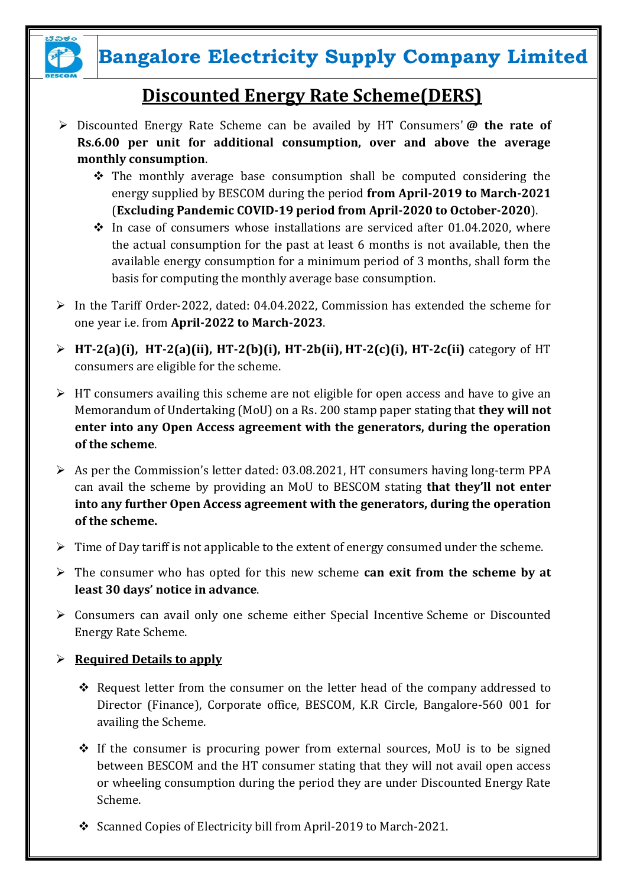

## **Bangalore Electricity Supply Company Limited**

### **Discounted Energy Rate Scheme(DERS)**

- Discounted Energy Rate Scheme can be availed by HT Consumers' **@ the rate of Rs.6.00 per unit for additional consumption, over and above the average monthly consumption**.
	- $\hat{\mathbf{v}}$  The monthly average base consumption shall be computed considering the energy supplied by BESCOM during the period **from April-2019 to March-2021** (**Excluding Pandemic COVID-19 period from April-2020 to October-2020**).
	- $\cdot$  In case of consumers whose installations are serviced after 01.04.2020, where the actual consumption for the past at least 6 months is not available, then the available energy consumption for a minimum period of 3 months, shall form the basis for computing the monthly average base consumption.
- $\triangleright$  In the Tariff Order-2022, dated: 04.04.2022, Commission has extended the scheme for one year i.e. from **April-2022 to March-2023**.
- **HT-2(a)(i), HT-2(a)(ii), HT-2(b)(i), HT-2b(ii), HT-2(c)(i), HT-2c(ii)** category of HT consumers are eligible for the scheme.
- $\triangleright$  HT consumers availing this scheme are not eligible for open access and have to give an Memorandum of Undertaking (MoU) on a Rs. 200 stamp paper stating that **they will not enter into any Open Access agreement with the generators, during the operation of the scheme**.
- $\triangleright$  As per the Commission's letter dated: 03.08.2021, HT consumers having long-term PPA can avail the scheme by providing an MoU to BESCOM stating **that they'll not enter into any further Open Access agreement with the generators, during the operation of the scheme.**
- $\triangleright$  Time of Day tariff is not applicable to the extent of energy consumed under the scheme.
- The consumer who has opted for this new scheme **can exit from the scheme by at least 30 days' notice in advance**.
- Consumers can avail only one scheme either Special Incentive Scheme or Discounted Energy Rate Scheme.
- $\triangleright$  **Required Details to apply** 
	- \* Request letter from the consumer on the letter head of the company addressed to Director (Finance), Corporate office, BESCOM, K.R Circle, Bangalore-560 001 for availing the Scheme.
	- $\div$  If the consumer is procuring power from external sources, MoU is to be signed between BESCOM and the HT consumer stating that they will not avail open access or wheeling consumption during the period they are under Discounted Energy Rate Scheme.
	- Scanned Copies of Electricity bill from April-2019 to March-2021.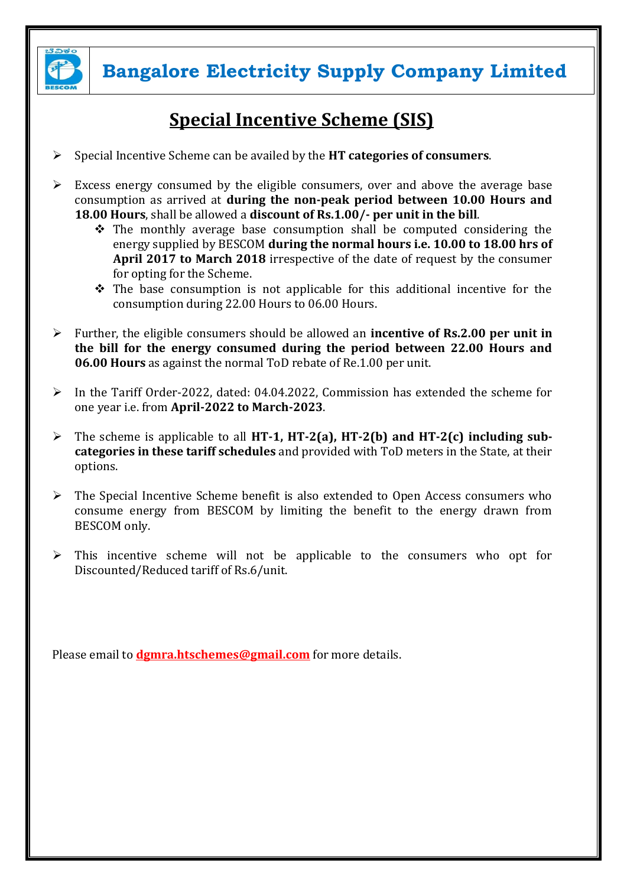

**Bangalore Electricity Supply Company Limited**

### **Special Incentive Scheme (SIS)**

- Special Incentive Scheme can be availed by the **HT categories of consumers**.
- $\triangleright$  Excess energy consumed by the eligible consumers, over and above the average base consumption as arrived at **during the non-peak period between 10.00 Hours and 18.00 Hours**, shall be allowed a **discount of Rs.1.00/- per unit in the bill**.
	- $\hat{P}$  The monthly average base consumption shall be computed considering the energy supplied by BESCOM **during the normal hours i.e. 10.00 to 18.00 hrs of April 2017 to March 2018** irrespective of the date of request by the consumer for opting for the Scheme.
	- $\hat{\mathbf{v}}$  The base consumption is not applicable for this additional incentive for the consumption during 22.00 Hours to 06.00 Hours.
- Further, the eligible consumers should be allowed an **incentive of Rs.2.00 per unit in the bill for the energy consumed during the period between 22.00 Hours and 06.00 Hours** as against the normal ToD rebate of Re.1.00 per unit.
- $\triangleright$  In the Tariff Order-2022, dated: 04.04.2022, Commission has extended the scheme for one year i.e. from **April-2022 to March-2023**.
- The scheme is applicable to all **HT-1, HT-2(a), HT-2(b) and HT-2(c) including subcategories in these tariff schedules** and provided with ToD meters in the State, at their options.
- $\triangleright$  The Special Incentive Scheme benefit is also extended to Open Access consumers who consume energy from BESCOM by limiting the benefit to the energy drawn from BESCOM only.
- $\triangleright$  This incentive scheme will not be applicable to the consumers who opt for Discounted/Reduced tariff of Rs.6/unit.

Please email to **[dgmra.htschemes@gmail.com](mailto:dgmra.htschemes@gmail.com)** for more details.